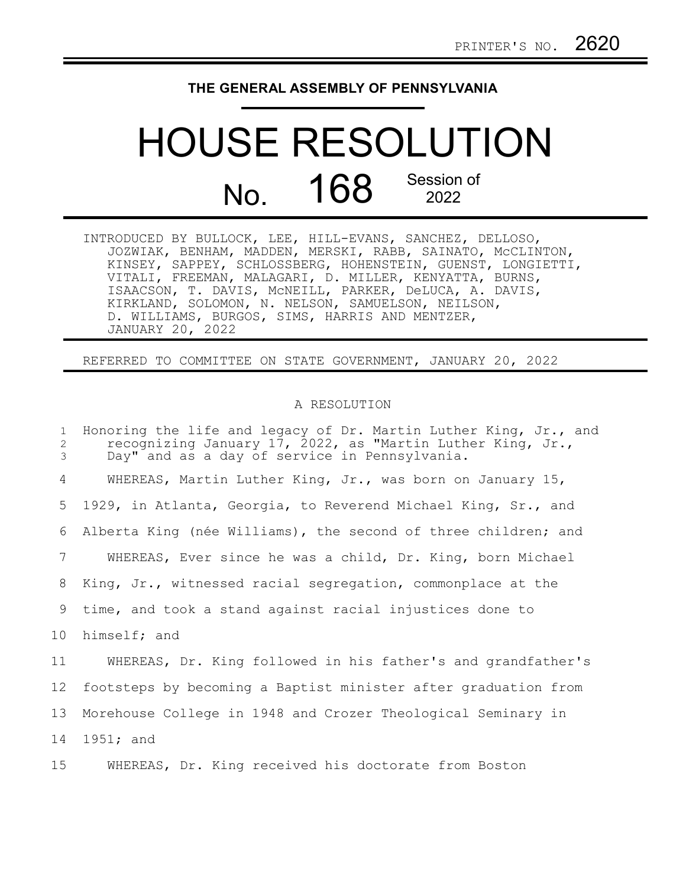## **THE GENERAL ASSEMBLY OF PENNSYLVANIA**

## HOUSE RESOLUTION No. 168 Session of

INTRODUCED BY BULLOCK, LEE, HILL-EVANS, SANCHEZ, DELLOSO, JOZWIAK, BENHAM, MADDEN, MERSKI, RABB, SAINATO, McCLINTON, KINSEY, SAPPEY, SCHLOSSBERG, HOHENSTEIN, GUENST, LONGIETTI, VITALI, FREEMAN, MALAGARI, D. MILLER, KENYATTA, BURNS, ISAACSON, T. DAVIS, McNEILL, PARKER, DeLUCA, A. DAVIS, KIRKLAND, SOLOMON, N. NELSON, SAMUELSON, NEILSON, D. WILLIAMS, BURGOS, SIMS, HARRIS AND MENTZER, JANUARY 20, 2022

## REFERRED TO COMMITTEE ON STATE GOVERNMENT, JANUARY 20, 2022

## A RESOLUTION

| $\mathbf{1}$<br>2<br>3 | Honoring the life and legacy of Dr. Martin Luther King, Jr., and<br>recognizing January 17, 2022, as "Martin Luther King, Jr.,<br>Day" and as a day of service in Pennsylvania. |
|------------------------|---------------------------------------------------------------------------------------------------------------------------------------------------------------------------------|
| 4                      | WHEREAS, Martin Luther King, Jr., was born on January 15,                                                                                                                       |
| 5                      | 1929, in Atlanta, Georgia, to Reverend Michael King, Sr., and                                                                                                                   |
| 6                      | Alberta King (née Williams), the second of three children; and                                                                                                                  |
| 7                      | WHEREAS, Ever since he was a child, Dr. King, born Michael                                                                                                                      |
| 8                      | King, Jr., witnessed racial segregation, commonplace at the                                                                                                                     |
| 9                      | time, and took a stand against racial injustices done to                                                                                                                        |
| 10                     | himself; and                                                                                                                                                                    |
| 11                     | WHEREAS, Dr. King followed in his father's and grandfather's                                                                                                                    |
| 12                     | footsteps by becoming a Baptist minister after graduation from                                                                                                                  |
| 13                     | Morehouse College in 1948 and Crozer Theological Seminary in                                                                                                                    |
| 14                     | 1951; and                                                                                                                                                                       |
|                        |                                                                                                                                                                                 |

WHEREAS, Dr. King received his doctorate from Boston 15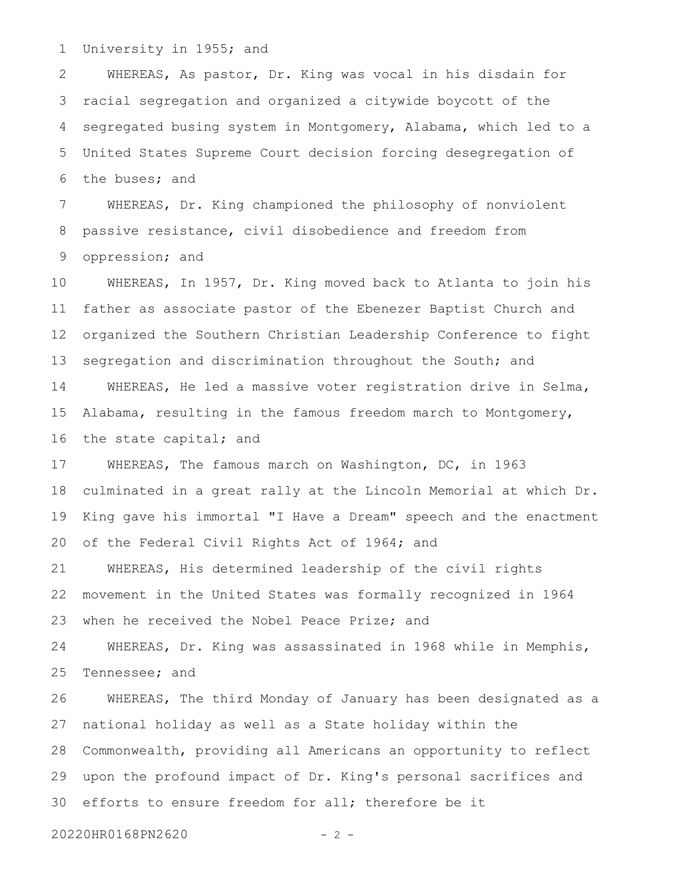University in 1955; and 1

WHEREAS, As pastor, Dr. King was vocal in his disdain for racial segregation and organized a citywide boycott of the segregated busing system in Montgomery, Alabama, which led to a United States Supreme Court decision forcing desegregation of the buses; and 2 3 4 5 6

WHEREAS, Dr. King championed the philosophy of nonviolent passive resistance, civil disobedience and freedom from oppression; and 7 8 9

WHEREAS, In 1957, Dr. King moved back to Atlanta to join his father as associate pastor of the Ebenezer Baptist Church and organized the Southern Christian Leadership Conference to fight segregation and discrimination throughout the South; and WHEREAS, He led a massive voter registration drive in Selma, Alabama, resulting in the famous freedom march to Montgomery, the state capital; and 10 11 12 13 14 15 16

WHEREAS, The famous march on Washington, DC, in 1963 culminated in a great rally at the Lincoln Memorial at which Dr. King gave his immortal "I Have a Dream" speech and the enactment of the Federal Civil Rights Act of 1964; and 17 18 19 20

WHEREAS, His determined leadership of the civil rights movement in the United States was formally recognized in 1964 when he received the Nobel Peace Prize; and 21 22 23

WHEREAS, Dr. King was assassinated in 1968 while in Memphis, Tennessee; and 24 25

WHEREAS, The third Monday of January has been designated as a national holiday as well as a State holiday within the Commonwealth, providing all Americans an opportunity to reflect upon the profound impact of Dr. King's personal sacrifices and efforts to ensure freedom for all; therefore be it 26 27 28 29 30

20220HR0168PN2620 - 2 -